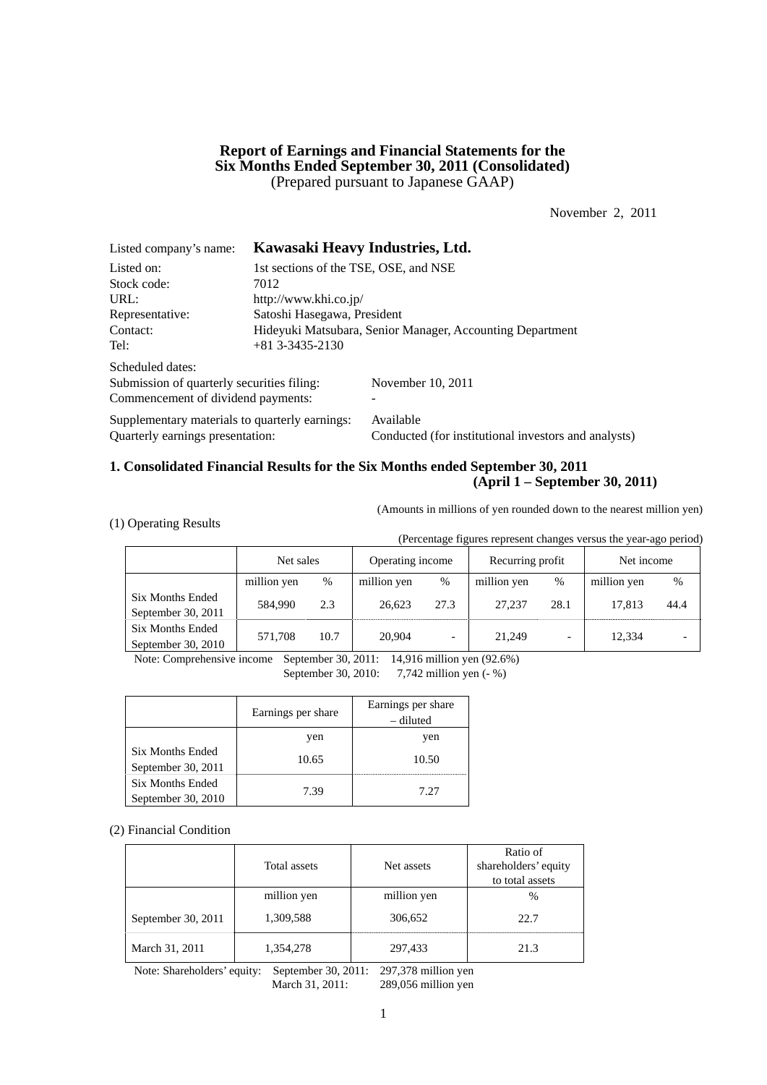# **Report of Earnings and Financial Statements for the Six Months Ended September 30, 2011 (Consolidated)**  (Prepared pursuant to Japanese GAAP)

November 2, 2011

| Listed company's name:                         |                                                           | Kawasaki Heavy Industries, Ltd.                      |  |  |  |  |
|------------------------------------------------|-----------------------------------------------------------|------------------------------------------------------|--|--|--|--|
| Listed on:                                     | 1st sections of the TSE, OSE, and NSE                     |                                                      |  |  |  |  |
| Stock code:                                    | 7012                                                      |                                                      |  |  |  |  |
| URL:                                           | http://www.khi.co.jp/                                     |                                                      |  |  |  |  |
| Representative:                                | Satoshi Hasegawa, President                               |                                                      |  |  |  |  |
| Contact:                                       | Hideyuki Matsubara, Senior Manager, Accounting Department |                                                      |  |  |  |  |
| Tel:                                           | $+81$ 3-3435-2130                                         |                                                      |  |  |  |  |
| Scheduled dates:                               |                                                           |                                                      |  |  |  |  |
| Submission of quarterly securities filing:     |                                                           | November 10, 2011                                    |  |  |  |  |
| Commencement of dividend payments:             |                                                           |                                                      |  |  |  |  |
| Supplementary materials to quarterly earnings: |                                                           | Available                                            |  |  |  |  |
| Quarterly earnings presentation:               |                                                           | Conducted (for institutional investors and analysts) |  |  |  |  |

# **1. Consolidated Financial Results for the Six Months ended September 30, 2011 (April 1 – September 30, 2011)**

(Amounts in millions of yen rounded down to the nearest million yen)

| (1) Operating Results |
|-----------------------|
|-----------------------|

(Percentage figures represent changes versus the year-ago period)

|                                          | Net sales   |      | Operating income |                          | Recurring profit |      | Net income  |      |
|------------------------------------------|-------------|------|------------------|--------------------------|------------------|------|-------------|------|
|                                          | million yen | %    | million yen      | $\%$                     | million yen      | %    | million yen | $\%$ |
| Six Months Ended<br>September 30, 2011   | 584,990     | 2.3  | 26.623           | 27.3                     | 27,237           | 28.1 | 17.813      | 44.4 |
| Six Months Ended<br>September 30, $2010$ | 571.708     | 10.7 | 20,904           | $\overline{\phantom{0}}$ | 21,249           |      | 12,334      |      |

Note: Comprehensive income September 30, 2011: 14,916 million yen (92.6%)

September 30, 2010: 7,742 million yen (- %)

|                                               | Earnings per share | Earnings per share<br>– diluted |
|-----------------------------------------------|--------------------|---------------------------------|
|                                               | yen                | yen                             |
| Six Months Ended<br>September 30, 2011        | 10.65              | 10.50                           |
| <b>Six Months Ended</b><br>September 30, 2010 | 7.39               | 7.27                            |

#### (2) Financial Condition

|                    | Total assets | Net assets  | Ratio of<br>shareholders' equity<br>to total assets |
|--------------------|--------------|-------------|-----------------------------------------------------|
|                    | million yen  | million yen | $\%$                                                |
| September 30, 2011 | 1,309,588    | 306,652     | 22.7                                                |
| March 31, 2011     | 1,354,278    | 297,433     | 21.3                                                |

Note: Shareholders' equity: September 30, 2011: 297,378 million yen March 31, 2011: 289,056 million yen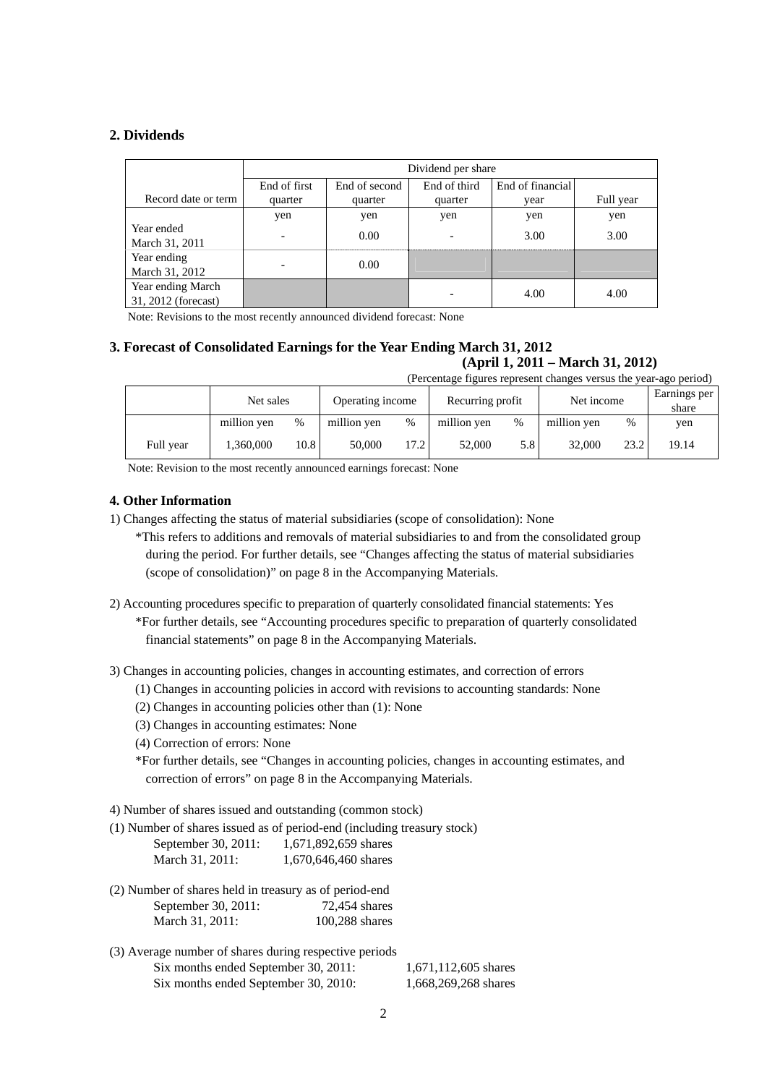# **2. Dividends**

|                                          |                          | Dividend per share |              |                  |           |  |  |
|------------------------------------------|--------------------------|--------------------|--------------|------------------|-----------|--|--|
|                                          | End of first             | End of second      | End of third | End of financial |           |  |  |
| Record date or term                      | quarter                  | quarter            | quarter      | vear             | Full year |  |  |
|                                          | yen                      | yen                | yen          | yen              | yen       |  |  |
| Year ended<br>March 31, 2011             | $\overline{\phantom{0}}$ | 0.00               | ۰            | 3.00             | 3.00      |  |  |
| Year ending<br>March 31, 2012            |                          | 0.00               |              |                  |           |  |  |
| Year ending March<br>31, 2012 (forecast) |                          |                    |              | 4.00             | 4.00      |  |  |

Note: Revisions to the most recently announced dividend forecast: None

#### **3. Forecast of Consolidated Earnings for the Year Ending March 31, 2012 (April 1, 2011 – March 31, 2012)**

(Percentage figures represent changes versus the year-ago period)

|           | Net sales   |      |             | Operating income |             | Net income<br>Recurring profit |             |      | Earnings per<br>share |
|-----------|-------------|------|-------------|------------------|-------------|--------------------------------|-------------|------|-----------------------|
|           | million yen | $\%$ | million yen | %                | million yen | %                              | million yen | $\%$ | yen                   |
| Full year | 1.360.000   | 10.8 | 50.000      | 17.2             | 52,000      | 5.8                            | 32,000      | 23.2 | 19.14                 |

Note: Revision to the most recently announced earnings forecast: None

# **4. Other Information**

- 1) Changes affecting the status of material subsidiaries (scope of consolidation): None
	- \*This refers to additions and removals of material subsidiaries to and from the consolidated group during the period. For further details, see "Changes affecting the status of material subsidiaries (scope of consolidation)" on page 8 in the Accompanying Materials.
- 2) Accounting procedures specific to preparation of quarterly consolidated financial statements: Yes \*For further details, see "Accounting procedures specific to preparation of quarterly consolidated financial statements" on page 8 in the Accompanying Materials.

3) Changes in accounting policies, changes in accounting estimates, and correction of errors

- (1) Changes in accounting policies in accord with revisions to accounting standards: None
- (2) Changes in accounting policies other than (1): None
- (3) Changes in accounting estimates: None
- (4) Correction of errors: None

\*For further details, see "Changes in accounting policies, changes in accounting estimates, and correction of errors" on page 8 in the Accompanying Materials.

4) Number of shares issued and outstanding (common stock)

(1) Number of shares issued as of period-end (including treasury stock)

| September 30, 2011: | 1,671,892,659 shares |
|---------------------|----------------------|
| March 31, 2011:     | 1,670,646,460 shares |

- (2) Number of shares held in treasury as of period-end September 30, 2011: 72,454 shares March 31, 2011: 100,288 shares
- (3) Average number of shares during respective periods Six months ended September 30, 2011: 1,671,112,605 shares Six months ended September 30, 2010: 1,668,269,268 shares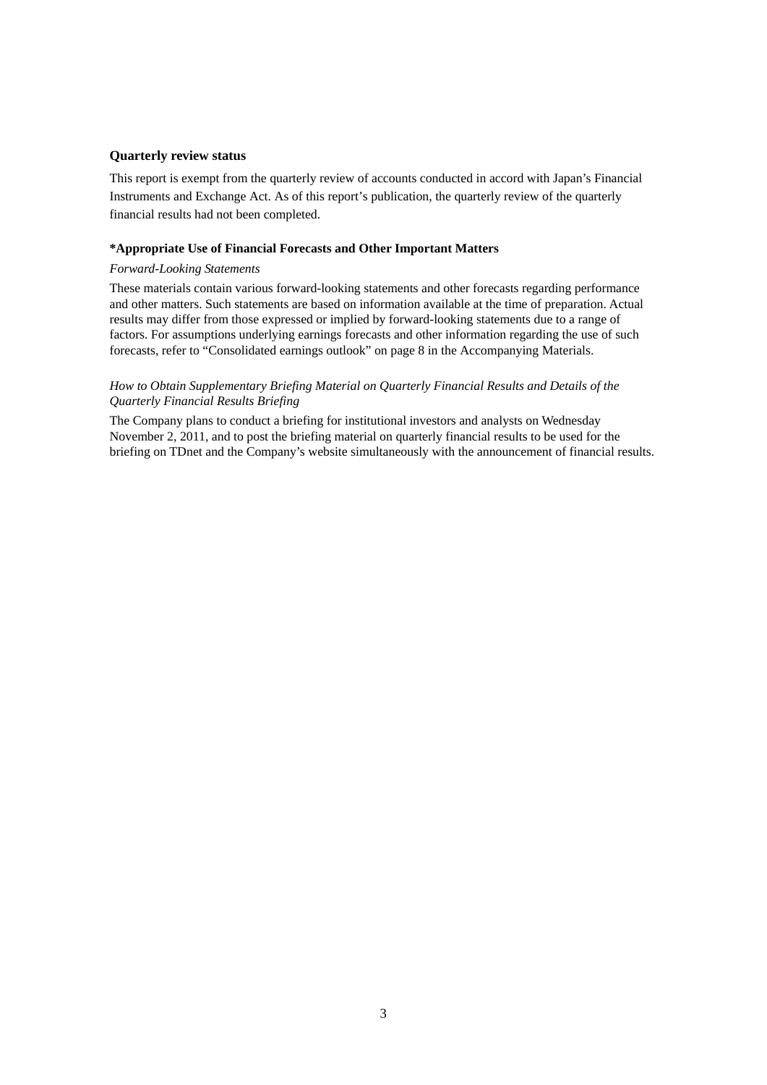### **Quarterly review status**

This report is exempt from the quarterly review of accounts conducted in accord with Japan's Financial Instruments and Exchange Act. As of this report's publication, the quarterly review of the quarterly financial results had not been completed.

#### **\*Appropriate Use of Financial Forecasts and Other Important Matters**

#### *Forward-Looking Statements*

These materials contain various forward-looking statements and other forecasts regarding performance and other matters. Such statements are based on information available at the time of preparation. Actual results may differ from those expressed or implied by forward-looking statements due to a range of factors. For assumptions underlying earnings forecasts and other information regarding the use of such forecasts, refer to "Consolidated earnings outlook" on page 8 in the Accompanying Materials.

### *How to Obtain Supplementary Briefing Material on Quarterly Financial Results and Details of the Quarterly Financial Results Briefing*

The Company plans to conduct a briefing for institutional investors and analysts on Wednesday November 2, 2011, and to post the briefing material on quarterly financial results to be used for the briefing on TDnet and the Company's website simultaneously with the announcement of financial results.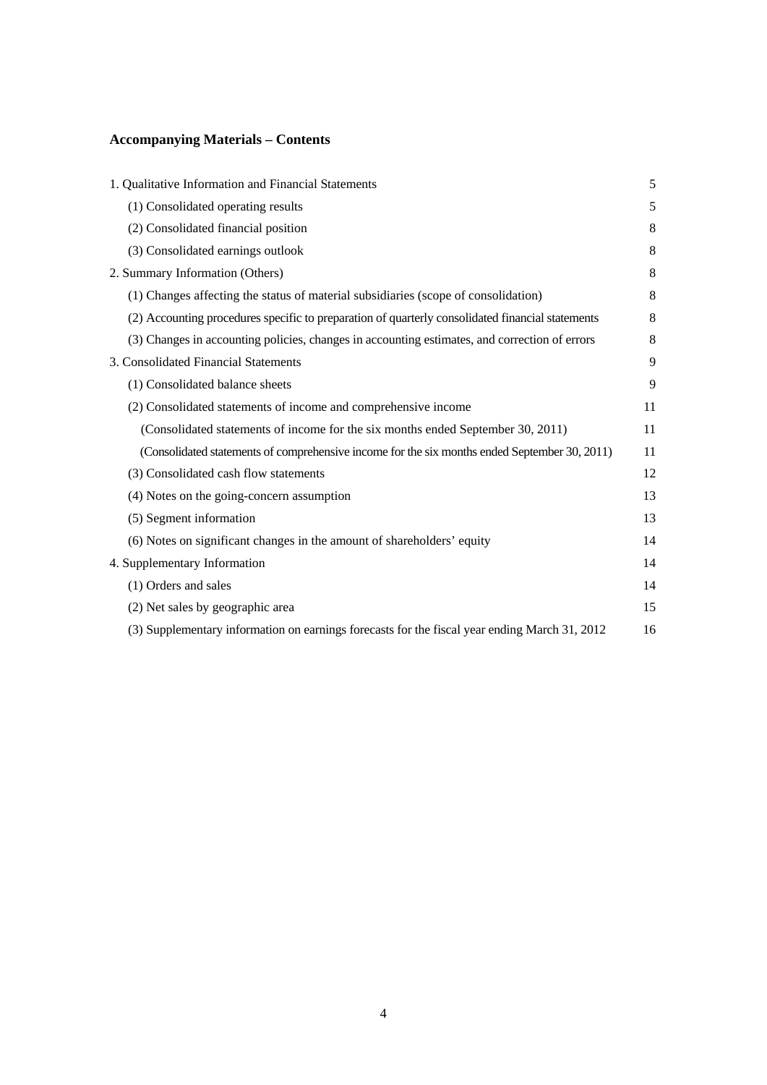# **Accompanying Materials – Contents**

| 1. Qualitative Information and Financial Statements                                              | 5  |
|--------------------------------------------------------------------------------------------------|----|
| (1) Consolidated operating results                                                               | 5  |
| (2) Consolidated financial position                                                              | 8  |
| (3) Consolidated earnings outlook                                                                | 8  |
| 2. Summary Information (Others)                                                                  | 8  |
| (1) Changes affecting the status of material subsidiaries (scope of consolidation)               | 8  |
| (2) Accounting procedures specific to preparation of quarterly consolidated financial statements | 8  |
| (3) Changes in accounting policies, changes in accounting estimates, and correction of errors    | 8  |
| 3. Consolidated Financial Statements                                                             | 9  |
| (1) Consolidated balance sheets                                                                  | 9  |
| (2) Consolidated statements of income and comprehensive income                                   | 11 |
| (Consolidated statements of income for the six months ended September 30, 2011)                  | 11 |
| (Consolidated statements of comprehensive income for the six months ended September 30, 2011)    | 11 |
| (3) Consolidated cash flow statements                                                            | 12 |
| (4) Notes on the going-concern assumption                                                        | 13 |
| (5) Segment information                                                                          | 13 |
| (6) Notes on significant changes in the amount of shareholders' equity                           | 14 |
| 4. Supplementary Information                                                                     | 14 |
| (1) Orders and sales                                                                             | 14 |
| (2) Net sales by geographic area                                                                 | 15 |
| (3) Supplementary information on earnings forecasts for the fiscal year ending March 31, 2012    | 16 |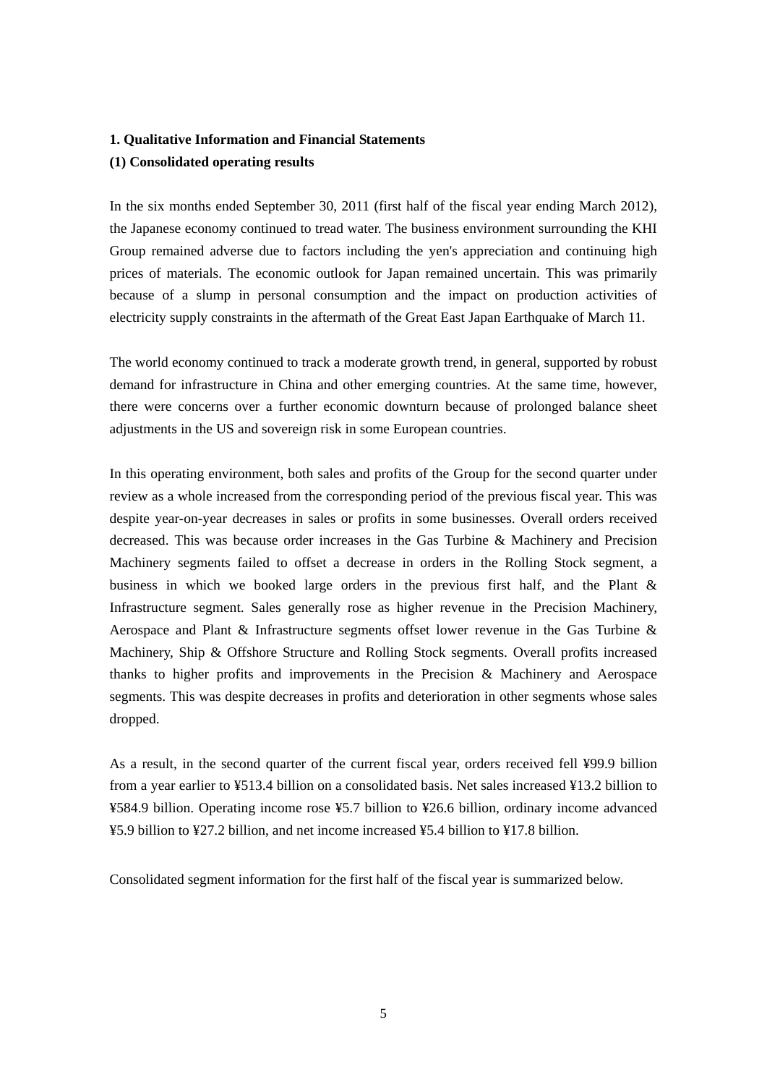# **1. Qualitative Information and Financial Statements**

### **(1) Consolidated operating results**

In the six months ended September 30, 2011 (first half of the fiscal year ending March 2012), the Japanese economy continued to tread water. The business environment surrounding the KHI Group remained adverse due to factors including the yen's appreciation and continuing high prices of materials. The economic outlook for Japan remained uncertain. This was primarily because of a slump in personal consumption and the impact on production activities of electricity supply constraints in the aftermath of the Great East Japan Earthquake of March 11.

The world economy continued to track a moderate growth trend, in general, supported by robust demand for infrastructure in China and other emerging countries. At the same time, however, there were concerns over a further economic downturn because of prolonged balance sheet adjustments in the US and sovereign risk in some European countries.

In this operating environment, both sales and profits of the Group for the second quarter under review as a whole increased from the corresponding period of the previous fiscal year. This was despite year-on-year decreases in sales or profits in some businesses. Overall orders received decreased. This was because order increases in the Gas Turbine & Machinery and Precision Machinery segments failed to offset a decrease in orders in the Rolling Stock segment, a business in which we booked large orders in the previous first half, and the Plant & Infrastructure segment. Sales generally rose as higher revenue in the Precision Machinery, Aerospace and Plant & Infrastructure segments offset lower revenue in the Gas Turbine & Machinery, Ship & Offshore Structure and Rolling Stock segments. Overall profits increased thanks to higher profits and improvements in the Precision & Machinery and Aerospace segments. This was despite decreases in profits and deterioration in other segments whose sales dropped.

As a result, in the second quarter of the current fiscal year, orders received fell ¥99.9 billion from a year earlier to ¥513.4 billion on a consolidated basis. Net sales increased ¥13.2 billion to ¥584.9 billion. Operating income rose ¥5.7 billion to ¥26.6 billion, ordinary income advanced ¥5.9 billion to ¥27.2 billion, and net income increased ¥5.4 billion to ¥17.8 billion.

Consolidated segment information for the first half of the fiscal year is summarized below.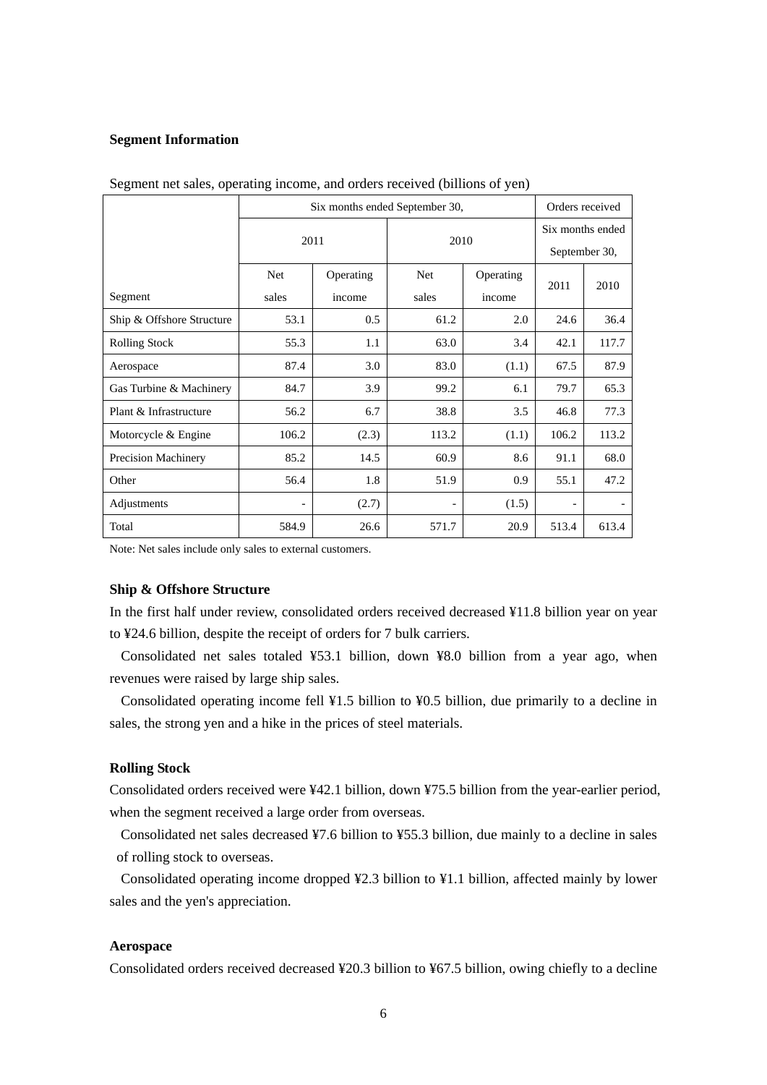## **Segment Information**

|                           | Six months ended September 30, |           |            |                  |                          | Orders received |  |
|---------------------------|--------------------------------|-----------|------------|------------------|--------------------------|-----------------|--|
|                           | 2011                           |           | 2010       | Six months ended |                          |                 |  |
|                           |                                |           |            | September 30,    |                          |                 |  |
|                           | <b>Net</b>                     | Operating | <b>Net</b> | Operating        | 2011                     | 2010            |  |
| Segment                   | sales                          | income    | sales      | income           |                          |                 |  |
| Ship & Offshore Structure | 53.1                           | 0.5       | 61.2       | 2.0              | 24.6                     | 36.4            |  |
| <b>Rolling Stock</b>      | 55.3                           | 1.1       | 63.0       | 3.4              | 42.1                     | 117.7           |  |
| Aerospace                 | 87.4                           | 3.0       | 83.0       | (1.1)            | 67.5                     | 87.9            |  |
| Gas Turbine & Machinery   | 84.7                           | 3.9       | 99.2       | 6.1              | 79.7                     | 65.3            |  |
| Plant & Infrastructure    | 56.2                           | 6.7       | 38.8       | 3.5              | 46.8                     | 77.3            |  |
| Motorcycle & Engine       | 106.2                          | (2.3)     | 113.2      | (1.1)            | 106.2                    | 113.2           |  |
| Precision Machinery       | 85.2                           | 14.5      | 60.9       | 8.6              | 91.1                     | 68.0            |  |
| Other                     | 56.4                           | 1.8       | 51.9       | 0.9              | 55.1                     | 47.2            |  |
| Adjustments               | $\overline{\phantom{a}}$       | (2.7)     |            | (1.5)            | $\overline{\phantom{a}}$ |                 |  |
| Total                     | 584.9                          | 26.6      | 571.7      | 20.9             | 513.4                    | 613.4           |  |

Segment net sales, operating income, and orders received (billions of yen)

Note: Net sales include only sales to external customers.

### **Ship & Offshore Structure**

In the first half under review, consolidated orders received decreased ¥11.8 billion year on year to ¥24.6 billion, despite the receipt of orders for 7 bulk carriers.

Consolidated net sales totaled ¥53.1 billion, down ¥8.0 billion from a year ago, when revenues were raised by large ship sales.

Consolidated operating income fell ¥1.5 billion to ¥0.5 billion, due primarily to a decline in sales, the strong yen and a hike in the prices of steel materials.

# **Rolling Stock**

Consolidated orders received were ¥42.1 billion, down ¥75.5 billion from the year-earlier period, when the segment received a large order from overseas.

Consolidated net sales decreased ¥7.6 billion to ¥55.3 billion, due mainly to a decline in sales of rolling stock to overseas.

Consolidated operating income dropped ¥2.3 billion to ¥1.1 billion, affected mainly by lower sales and the yen's appreciation.

### **Aerospace**

Consolidated orders received decreased ¥20.3 billion to ¥67.5 billion, owing chiefly to a decline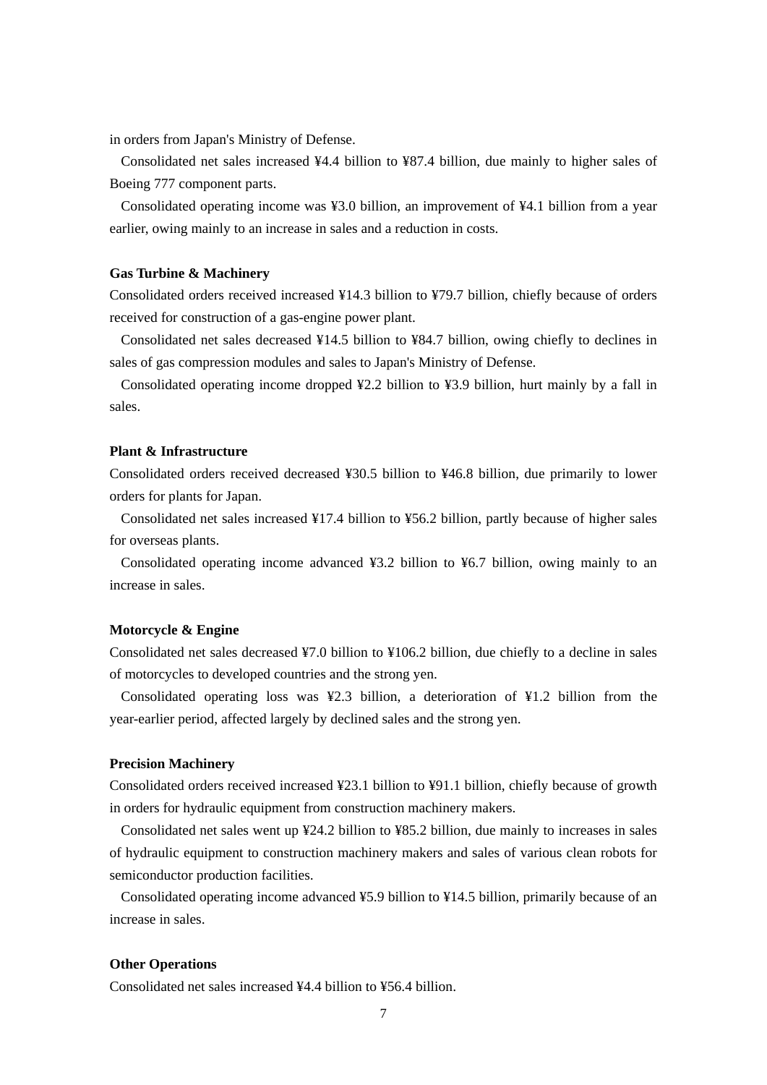in orders from Japan's Ministry of Defense.

Consolidated net sales increased ¥4.4 billion to ¥87.4 billion, due mainly to higher sales of Boeing 777 component parts.

Consolidated operating income was ¥3.0 billion, an improvement of ¥4.1 billion from a year earlier, owing mainly to an increase in sales and a reduction in costs.

### **Gas Turbine & Machinery**

Consolidated orders received increased ¥14.3 billion to ¥79.7 billion, chiefly because of orders received for construction of a gas-engine power plant.

Consolidated net sales decreased ¥14.5 billion to ¥84.7 billion, owing chiefly to declines in sales of gas compression modules and sales to Japan's Ministry of Defense.

Consolidated operating income dropped ¥2.2 billion to ¥3.9 billion, hurt mainly by a fall in sales.

### **Plant & Infrastructure**

Consolidated orders received decreased ¥30.5 billion to ¥46.8 billion, due primarily to lower orders for plants for Japan.

Consolidated net sales increased ¥17.4 billion to ¥56.2 billion, partly because of higher sales for overseas plants.

Consolidated operating income advanced ¥3.2 billion to ¥6.7 billion, owing mainly to an increase in sales.

# **Motorcycle & Engine**

Consolidated net sales decreased ¥7.0 billion to ¥106.2 billion, due chiefly to a decline in sales of motorcycles to developed countries and the strong yen.

Consolidated operating loss was ¥2.3 billion, a deterioration of ¥1.2 billion from the year-earlier period, affected largely by declined sales and the strong yen.

### **Precision Machinery**

Consolidated orders received increased ¥23.1 billion to ¥91.1 billion, chiefly because of growth in orders for hydraulic equipment from construction machinery makers.

Consolidated net sales went up ¥24.2 billion to ¥85.2 billion, due mainly to increases in sales of hydraulic equipment to construction machinery makers and sales of various clean robots for semiconductor production facilities.

Consolidated operating income advanced ¥5.9 billion to ¥14.5 billion, primarily because of an increase in sales.

# **Other Operations**

Consolidated net sales increased ¥4.4 billion to ¥56.4 billion.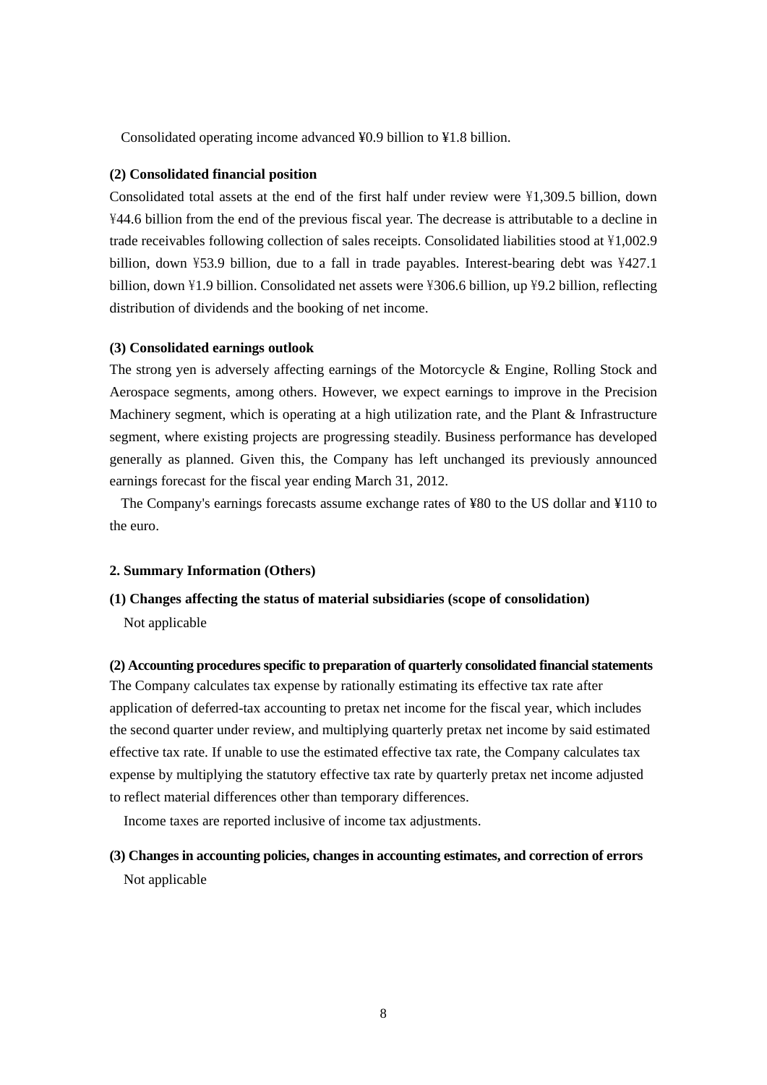Consolidated operating income advanced ¥0.9 billion to ¥1.8 billion.

### **(2) Consolidated financial position**

Consolidated total assets at the end of the first half under review were \1,309.5 billion, down \44.6 billion from the end of the previous fiscal year. The decrease is attributable to a decline in trade receivables following collection of sales receipts. Consolidated liabilities stood at \1,002.9 billion, down  $\frac{1}{2}$  billion, due to a fall in trade payables. Interest-bearing debt was  $\frac{1}{2}$  427.1 billion, down  $\frac{1}{2}$ .9 billion. Consolidated net assets were  $\frac{1}{2}306.6$  billion, up  $\frac{1}{2}9.2$  billion, reflecting distribution of dividends and the booking of net income.

# **(3) Consolidated earnings outlook**

The strong yen is adversely affecting earnings of the Motorcycle & Engine, Rolling Stock and Aerospace segments, among others. However, we expect earnings to improve in the Precision Machinery segment, which is operating at a high utilization rate, and the Plant & Infrastructure segment, where existing projects are progressing steadily. Business performance has developed generally as planned. Given this, the Company has left unchanged its previously announced earnings forecast for the fiscal year ending March 31, 2012.

The Company's earnings forecasts assume exchange rates of ¥80 to the US dollar and ¥110 to the euro.

### **2. Summary Information (Others)**

# **(1) Changes affecting the status of material subsidiaries (scope of consolidation)**

Not applicable

#### **(2) Accounting procedures specific to preparation of quarterly consolidated financial statements**

The Company calculates tax expense by rationally estimating its effective tax rate after application of deferred-tax accounting to pretax net income for the fiscal year, which includes the second quarter under review, and multiplying quarterly pretax net income by said estimated effective tax rate. If unable to use the estimated effective tax rate, the Company calculates tax expense by multiplying the statutory effective tax rate by quarterly pretax net income adjusted to reflect material differences other than temporary differences.

Income taxes are reported inclusive of income tax adjustments.

# **(3) Changes in accounting policies, changes in accounting estimates, and correction of errors**  Not applicable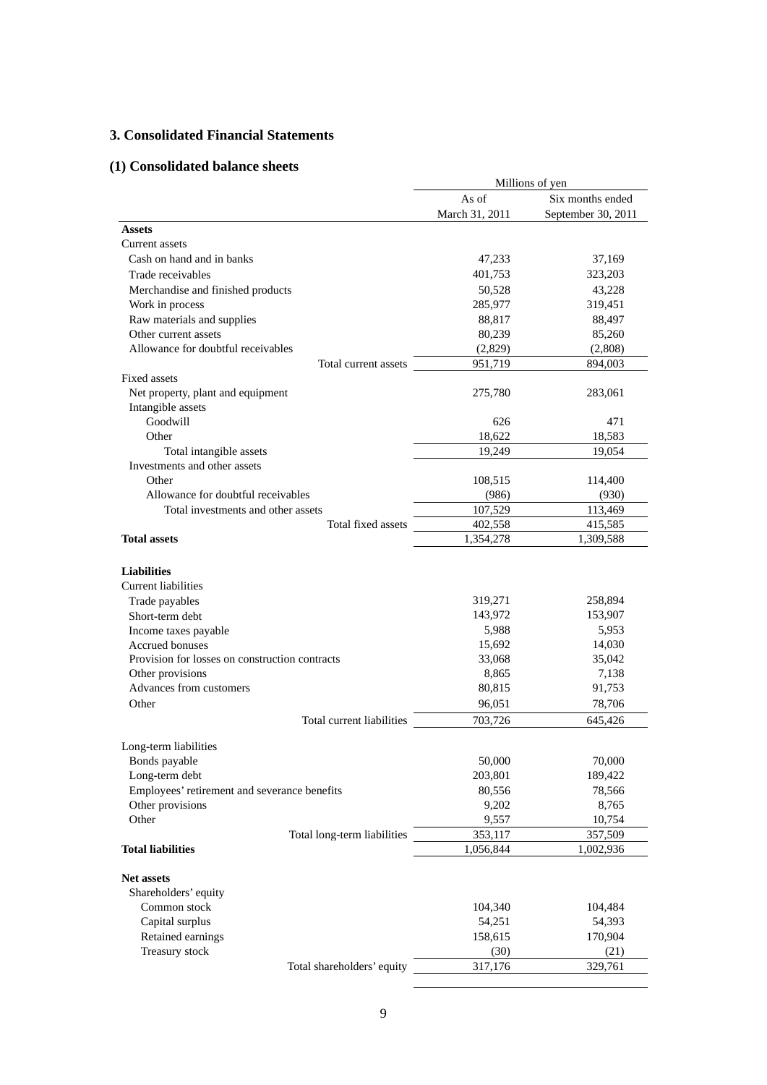# **3. Consolidated Financial Statements**

# **(1) Consolidated balance sheets**

|                                                          | Millions of yen |                    |  |
|----------------------------------------------------------|-----------------|--------------------|--|
|                                                          | As of           | Six months ended   |  |
|                                                          | March 31, 2011  | September 30, 2011 |  |
| <b>Assets</b>                                            |                 |                    |  |
| Current assets                                           |                 |                    |  |
| Cash on hand and in banks                                | 47,233          | 37,169             |  |
| Trade receivables                                        | 401,753         | 323,203            |  |
| Merchandise and finished products                        | 50,528          | 43,228             |  |
| Work in process                                          | 285,977         | 319,451            |  |
| Raw materials and supplies                               | 88,817          | 88,497             |  |
| Other current assets                                     | 80,239          | 85,260             |  |
| Allowance for doubtful receivables                       | (2,829)         | (2,808)            |  |
| Total current assets                                     | 951,719         | 894,003            |  |
| Fixed assets                                             |                 |                    |  |
| Net property, plant and equipment<br>Intangible assets   | 275,780         | 283,061            |  |
| Goodwill                                                 | 626             | 471                |  |
| Other                                                    | 18,622          | 18,583             |  |
| Total intangible assets                                  | 19,249          | 19,054             |  |
| Investments and other assets                             |                 |                    |  |
| Other                                                    | 108,515         | 114,400            |  |
| Allowance for doubtful receivables                       | (986)           | (930)              |  |
| Total investments and other assets<br>Total fixed assets | 107,529         | 113,469            |  |
| <b>Total assets</b>                                      | 402,558         | 415,585            |  |
|                                                          | 1,354,278       | 1,309,588          |  |
| <b>Liabilities</b>                                       |                 |                    |  |
| Current liabilities                                      |                 |                    |  |
| Trade payables                                           | 319,271         | 258,894            |  |
| Short-term debt                                          | 143,972         | 153,907            |  |
| Income taxes payable                                     | 5,988           | 5,953              |  |
| <b>Accrued bonuses</b>                                   | 15,692          | 14,030             |  |
| Provision for losses on construction contracts           | 33,068          | 35,042             |  |
| Other provisions<br>Advances from customers              | 8,865           | 7,138              |  |
|                                                          | 80,815          | 91,753             |  |
| Other                                                    | 96,051          | 78,706             |  |
| Total current liabilities                                | 703,726         | 645,426            |  |
| Long-term liabilities                                    |                 |                    |  |
| Bonds payable                                            | 50,000          | 70,000             |  |
| Long-term debt                                           | 203,801         | 189,422            |  |
| Employees' retirement and severance benefits             | 80,556          | 78,566             |  |
| Other provisions                                         | 9,202           | 8,765              |  |
| Other                                                    | 9,557           | 10,754             |  |
| Total long-term liabilities                              | 353,117         | 357,509            |  |
| <b>Total liabilities</b>                                 | 1,056,844       | 1,002,936          |  |
|                                                          |                 |                    |  |
| <b>Net assets</b>                                        |                 |                    |  |
| Shareholders' equity                                     |                 |                    |  |
| Common stock                                             | 104,340         | 104,484            |  |
| Capital surplus                                          | 54,251          | 54,393             |  |
| Retained earnings                                        | 158,615         | 170,904            |  |
| Treasury stock                                           | (30)            | (21)               |  |
| Total shareholders' equity                               | 317,176         | 329,761            |  |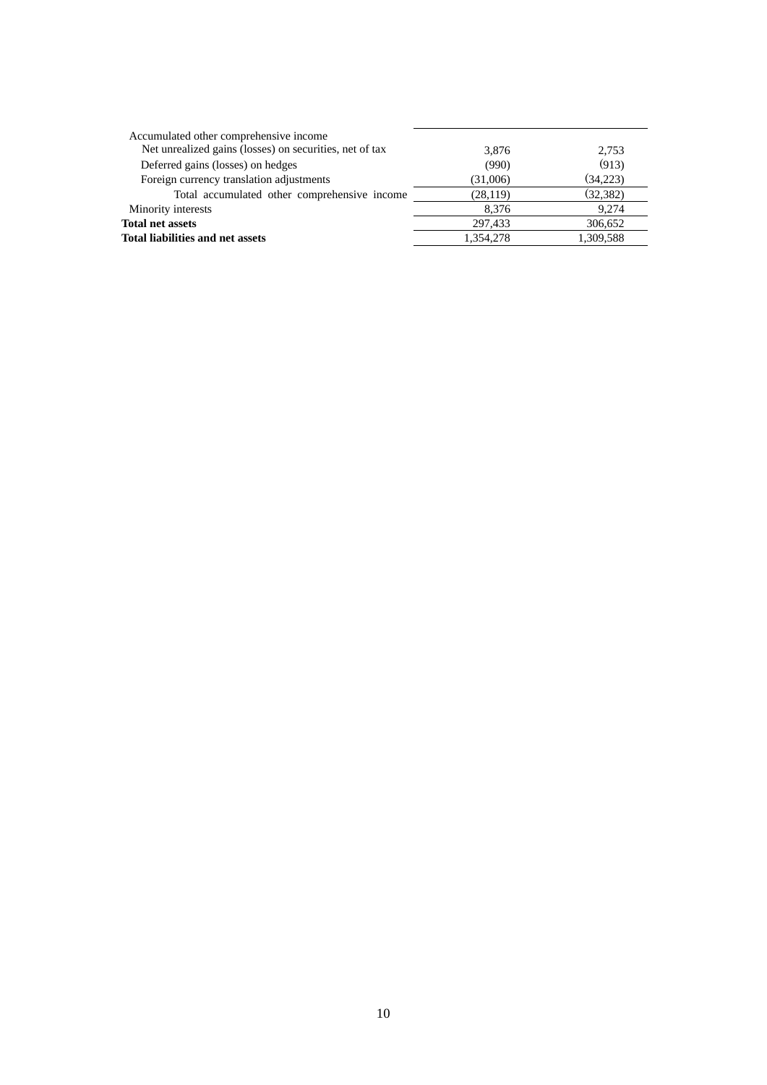| Accumulated other comprehensive income                  |           |           |
|---------------------------------------------------------|-----------|-----------|
| Net unrealized gains (losses) on securities, net of tax | 3.876     | 2,753     |
| Deferred gains (losses) on hedges                       | (990)     | (913)     |
| Foreign currency translation adjustments                | (31,006)  | (34,223)  |
| Total accumulated other comprehensive income            | (28, 119) | (32, 382) |
| Minority interests                                      | 8.376     | 9.274     |
| <b>Total net assets</b>                                 | 297.433   | 306,652   |
| <b>Total liabilities and net assets</b>                 | 1,354,278 | 1,309,588 |
|                                                         |           |           |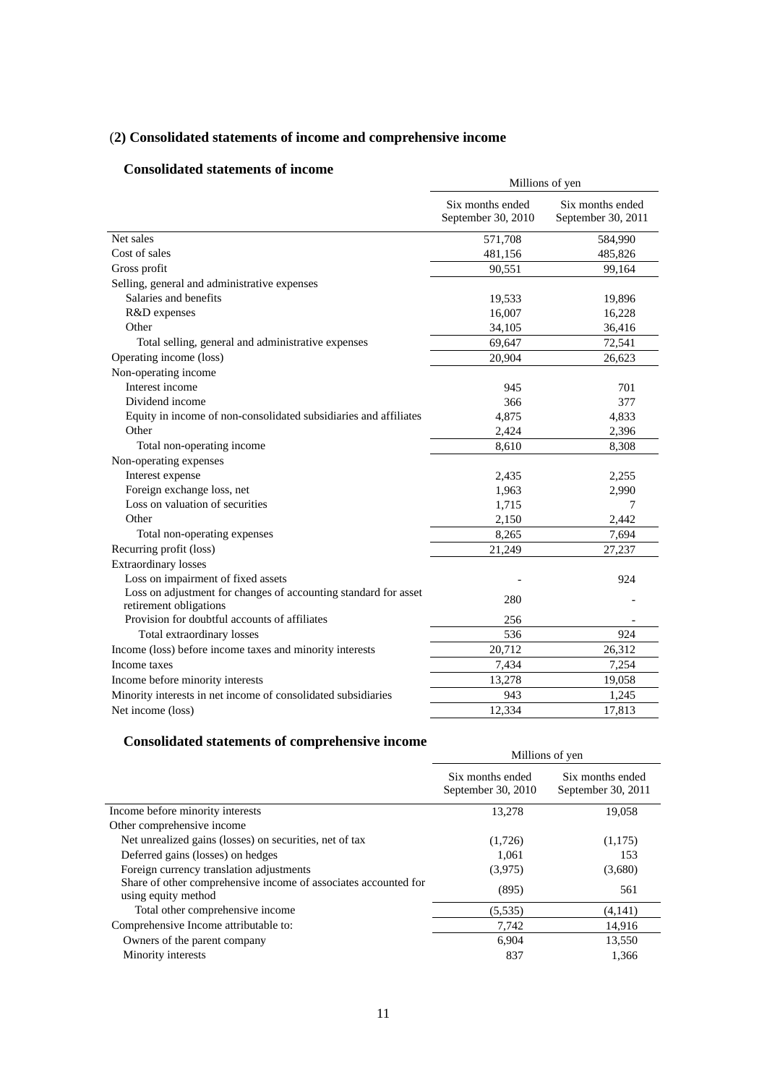# (**2) Consolidated statements of income and comprehensive income**

# **Consolidated statements of income**

| onsonuateu statements of meome                                                            | Millions of yen                        |                                        |  |
|-------------------------------------------------------------------------------------------|----------------------------------------|----------------------------------------|--|
|                                                                                           | Six months ended<br>September 30, 2010 | Six months ended<br>September 30, 2011 |  |
| Net sales                                                                                 | 571,708                                | 584,990                                |  |
| Cost of sales                                                                             | 481,156                                | 485,826                                |  |
| Gross profit                                                                              | 90,551                                 | 99,164                                 |  |
| Selling, general and administrative expenses                                              |                                        |                                        |  |
| Salaries and benefits                                                                     | 19,533                                 | 19,896                                 |  |
| R&D expenses                                                                              | 16,007                                 | 16,228                                 |  |
| Other                                                                                     | 34,105                                 | 36,416                                 |  |
| Total selling, general and administrative expenses                                        | 69,647                                 | 72,541                                 |  |
| Operating income (loss)                                                                   | 20,904                                 | 26,623                                 |  |
| Non-operating income                                                                      |                                        |                                        |  |
| Interest income                                                                           | 945                                    | 701                                    |  |
| Dividend income                                                                           | 366                                    | 377                                    |  |
| Equity in income of non-consolidated subsidiaries and affiliates                          | 4,875                                  | 4,833                                  |  |
| Other                                                                                     | 2,424                                  | 2,396                                  |  |
| Total non-operating income                                                                | 8,610                                  | 8,308                                  |  |
| Non-operating expenses                                                                    |                                        |                                        |  |
| Interest expense                                                                          | 2,435                                  | 2,255                                  |  |
| Foreign exchange loss, net                                                                | 1,963                                  | 2,990                                  |  |
| Loss on valuation of securities                                                           | 1,715                                  | 7                                      |  |
| Other                                                                                     | 2,150                                  | 2,442                                  |  |
| Total non-operating expenses                                                              | 8,265                                  | 7,694                                  |  |
| Recurring profit (loss)                                                                   | 21,249                                 | 27,237                                 |  |
| <b>Extraordinary losses</b>                                                               |                                        |                                        |  |
| Loss on impairment of fixed assets                                                        |                                        | 924                                    |  |
| Loss on adjustment for changes of accounting standard for asset<br>retirement obligations | 280                                    |                                        |  |
| Provision for doubtful accounts of affiliates                                             | 256                                    |                                        |  |
| Total extraordinary losses                                                                | 536                                    | 924                                    |  |
| Income (loss) before income taxes and minority interests                                  | 20,712                                 | 26,312                                 |  |
| Income taxes                                                                              | 7,434                                  | 7,254                                  |  |
| Income before minority interests                                                          | 13,278                                 | 19,058                                 |  |
| Minority interests in net income of consolidated subsidiaries                             | 943                                    | 1,245                                  |  |
| Net income (loss)                                                                         | 12,334                                 | 17,813                                 |  |

# **Consolidated statements of comprehensive income**

| Millions of yen                        |                                        |  |
|----------------------------------------|----------------------------------------|--|
| Six months ended<br>September 30, 2010 | Six months ended<br>September 30, 2011 |  |
| 13,278                                 | 19,058                                 |  |
|                                        |                                        |  |
| (1,726)                                | (1,175)                                |  |
| 1,061                                  | 153                                    |  |
| (3,975)                                | (3,680)                                |  |
| (895)                                  | 561                                    |  |
| (5,535)                                | (4,141)                                |  |
| 7,742                                  | 14,916                                 |  |
| 6,904                                  | 13,550                                 |  |
| 837                                    | 1.366                                  |  |
|                                        |                                        |  |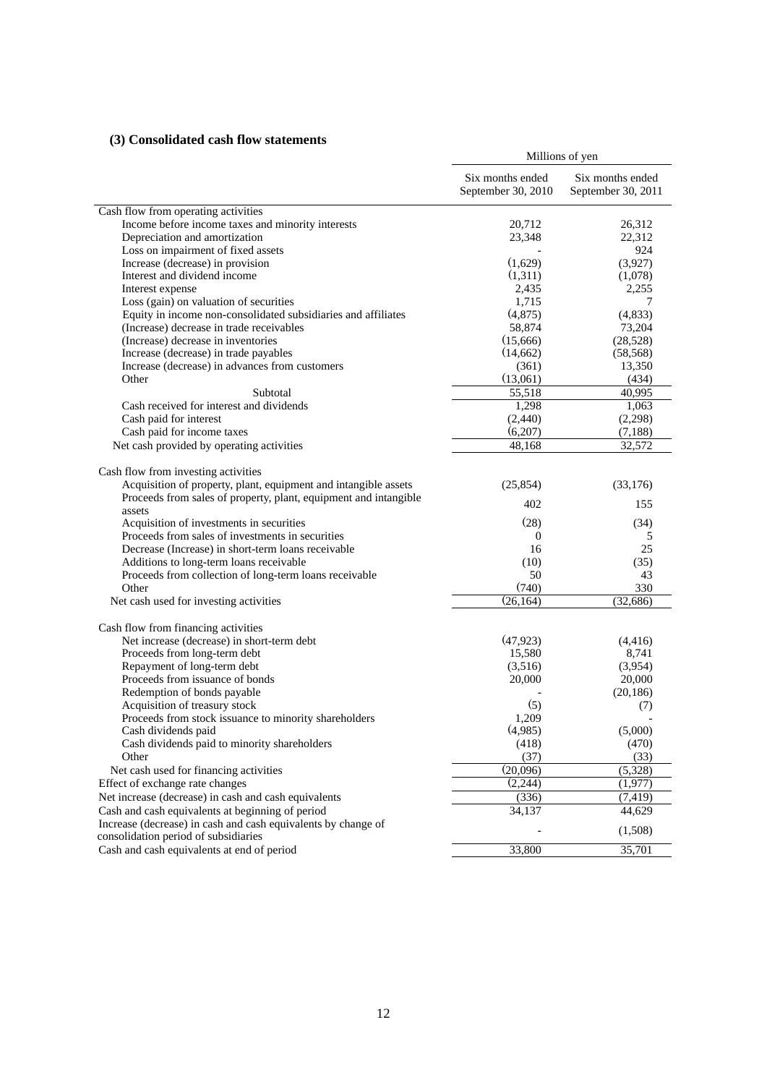# **(3) Consolidated cash flow statements**

|                                                                                               | Millions of yen                        |                                        |  |
|-----------------------------------------------------------------------------------------------|----------------------------------------|----------------------------------------|--|
|                                                                                               | Six months ended<br>September 30, 2010 | Six months ended<br>September 30, 2011 |  |
| Cash flow from operating activities                                                           |                                        |                                        |  |
| Income before income taxes and minority interests                                             | 20,712                                 | 26,312                                 |  |
| Depreciation and amortization                                                                 | 23,348                                 | 22,312                                 |  |
| Loss on impairment of fixed assets                                                            |                                        | 924                                    |  |
| Increase (decrease) in provision                                                              | (1,629)                                | (3,927)                                |  |
| Interest and dividend income                                                                  | (1,311)                                | (1,078)                                |  |
| Interest expense                                                                              | 2,435                                  | 2,255                                  |  |
| Loss (gain) on valuation of securities                                                        | 1,715                                  |                                        |  |
| Equity in income non-consolidated subsidiaries and affiliates                                 | (4,875)                                | (4, 833)                               |  |
| (Increase) decrease in trade receivables                                                      | 58,874                                 | 73,204                                 |  |
| (Increase) decrease in inventories                                                            | (15,666)                               | (28, 528)                              |  |
| Increase (decrease) in trade payables                                                         | (14,662)                               | (58, 568)                              |  |
| Increase (decrease) in advances from customers                                                | (361)                                  | 13,350                                 |  |
| Other                                                                                         | (13,061)                               | (434)                                  |  |
| Subtotal                                                                                      | 55,518                                 | 40,995                                 |  |
| Cash received for interest and dividends                                                      | 1,298                                  | 1,063                                  |  |
| Cash paid for interest                                                                        | (2, 440)                               | (2,298)                                |  |
| Cash paid for income taxes                                                                    | (6,207)                                | (7, 188)                               |  |
| Net cash provided by operating activities                                                     | 48,168                                 | 32,572                                 |  |
|                                                                                               |                                        |                                        |  |
| Cash flow from investing activities                                                           |                                        |                                        |  |
| Acquisition of property, plant, equipment and intangible assets                               | (25, 854)                              | (33,176)                               |  |
| Proceeds from sales of property, plant, equipment and intangible                              | 402                                    | 155                                    |  |
| assets                                                                                        |                                        |                                        |  |
| Acquisition of investments in securities<br>Proceeds from sales of investments in securities  | (28)<br>$\theta$                       | (34)<br>5                              |  |
|                                                                                               | 16                                     | 25                                     |  |
| Decrease (Increase) in short-term loans receivable<br>Additions to long-term loans receivable | (10)                                   | (35)                                   |  |
| Proceeds from collection of long-term loans receivable                                        | 50                                     | 43                                     |  |
| Other                                                                                         | (740)                                  | 330                                    |  |
| Net cash used for investing activities                                                        | (26, 164)                              | (32, 686)                              |  |
|                                                                                               |                                        |                                        |  |
| Cash flow from financing activities                                                           |                                        |                                        |  |
| Net increase (decrease) in short-term debt                                                    | (47, 923)                              | (4,416)                                |  |
| Proceeds from long-term debt                                                                  | 15,580                                 | 8,741                                  |  |
| Repayment of long-term debt                                                                   | (3,516)                                | (3,954)                                |  |
| Proceeds from issuance of bonds                                                               | 20,000                                 | 20,000                                 |  |
| Redemption of bonds payable                                                                   |                                        | (20, 186)                              |  |
| Acquisition of treasury stock                                                                 | (5)                                    | (7)                                    |  |
| Proceeds from stock issuance to minority shareholders                                         | 1,209                                  |                                        |  |
| Cash dividends paid                                                                           | (4,985)                                | (5,000)                                |  |
| Cash dividends paid to minority shareholders                                                  | (418)                                  | (470)                                  |  |
| Other                                                                                         | (37)                                   | (33)                                   |  |
| Net cash used for financing activities                                                        | (20,096)                               | (5,328)                                |  |
| Effect of exchange rate changes                                                               | (2,244)                                | (1,977)                                |  |
| Net increase (decrease) in cash and cash equivalents                                          | (336)                                  | (7, 419)                               |  |
| Cash and cash equivalents at beginning of period                                              | 34,137                                 | 44,629                                 |  |
| Increase (decrease) in cash and cash equivalents by change of                                 |                                        |                                        |  |
| consolidation period of subsidiaries                                                          |                                        | (1,508)                                |  |
| Cash and cash equivalents at end of period                                                    | 33,800                                 | 35,701                                 |  |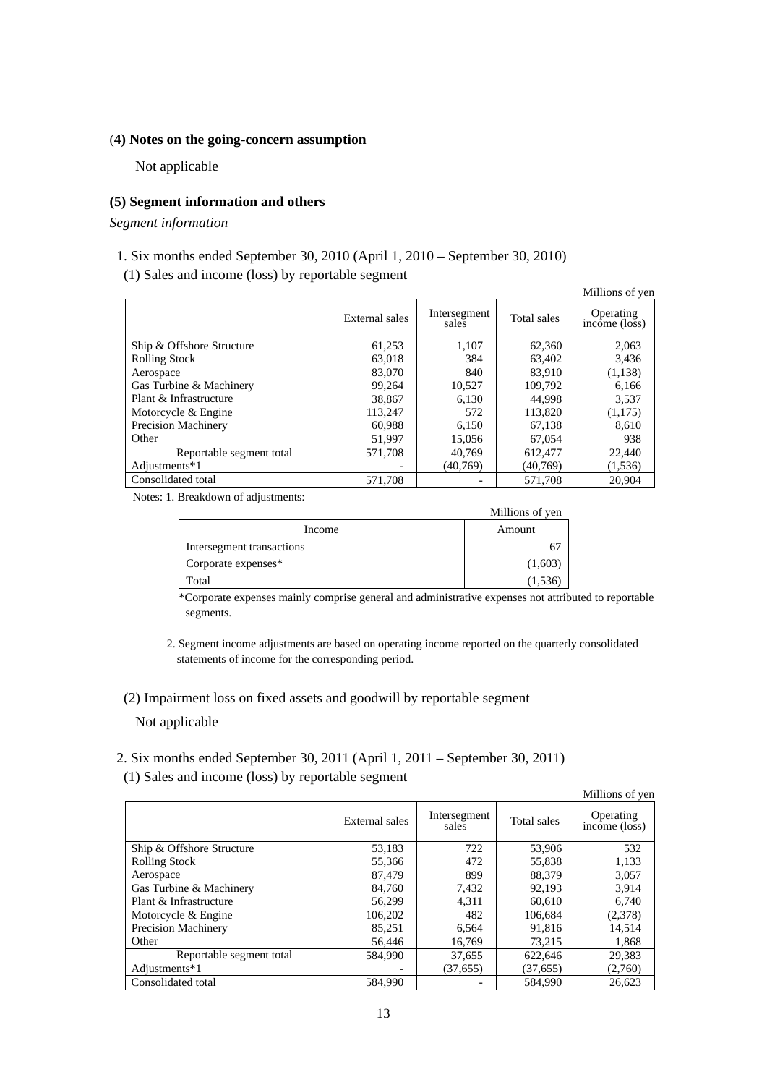### (**4) Notes on the going-concern assumption**

Not applicable

### **(5) Segment information and others**

*Segment information* 

- 1. Six months ended September 30, 2010 (April 1, 2010 September 30, 2010)
- (1) Sales and income (loss) by reportable segment

|                            |                |                       |             | Millions of yen            |
|----------------------------|----------------|-----------------------|-------------|----------------------------|
|                            | External sales | Intersegment<br>sales | Total sales | Operating<br>income (loss) |
| Ship & Offshore Structure  | 61,253         | 1,107                 | 62,360      | 2.063                      |
| <b>Rolling Stock</b>       | 63,018         | 384                   | 63.402      | 3,436                      |
| Aerospace                  | 83,070         | 840                   | 83.910      | (1,138)                    |
| Gas Turbine & Machinery    | 99.264         | 10,527                | 109.792     | 6.166                      |
| Plant & Infrastructure     | 38,867         | 6,130                 | 44.998      | 3,537                      |
| Motorcycle & Engine        | 113,247        | 572                   | 113,820     | (1,175)                    |
| <b>Precision Machinery</b> | 60,988         | 6,150                 | 67,138      | 8.610                      |
| Other                      | 51,997         | 15,056                | 67,054      | 938                        |
| Reportable segment total   | 571.708        | 40.769                | 612.477     | 22,440                     |
| Adjustments*1              |                | (40,769)              | (40,769)    | (1,536)                    |
| Consolidated total         | 571,708        |                       | 571,708     | 20,904                     |

Notes: 1. Breakdown of adjustments:

| --                        | Millions of yen |
|---------------------------|-----------------|
| Income                    | Amount          |
| Intersegment transactions |                 |
| Corporate expenses*       | (1,603)         |
| Total                     | 1,536           |

\*Corporate expenses mainly comprise general and administrative expenses not attributed to reportable segments.

2. Segment income adjustments are based on operating income reported on the quarterly consolidated statements of income for the corresponding period.

# (2) Impairment loss on fixed assets and goodwill by reportable segment Not applicable

2. Six months ended September 30, 2011 (April 1, 2011 – September 30, 2011)

(1) Sales and income (loss) by reportable segment

|                            |                |                       |             | Millions of yen            |
|----------------------------|----------------|-----------------------|-------------|----------------------------|
|                            | External sales | Intersegment<br>sales | Total sales | Operating<br>income (loss) |
| Ship & Offshore Structure  | 53,183         | 722                   | 53,906      | 532                        |
| <b>Rolling Stock</b>       | 55,366         | 472                   | 55,838      | 1,133                      |
| Aerospace                  | 87.479         | 899                   | 88,379      | 3,057                      |
| Gas Turbine & Machinery    | 84.760         | 7.432                 | 92.193      | 3.914                      |
| Plant & Infrastructure     | 56,299         | 4.311                 | 60.610      | 6.740                      |
| Motorcycle & Engine        | 106,202        | 482                   | 106,684     | (2,378)                    |
| <b>Precision Machinery</b> | 85,251         | 6.564                 | 91,816      | 14,514                     |
| Other                      | 56,446         | 16,769                | 73,215      | 1,868                      |
| Reportable segment total   | 584.990        | 37,655                | 622.646     | 29,383                     |
| Adjustments*1              |                | (37, 655)             | (37, 655)   | (2,760)                    |
| Consolidated total         | 584,990        |                       | 584.990     | 26.623                     |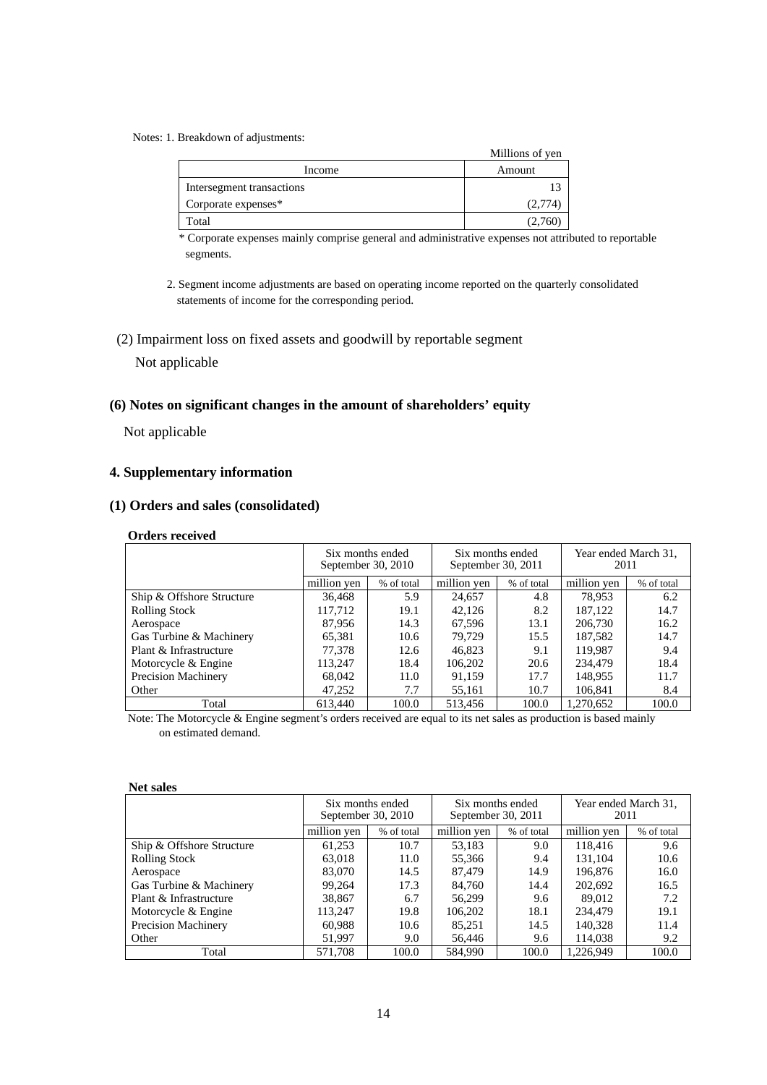#### Notes: 1. Breakdown of adjustments:

|                           | Millions of yen |
|---------------------------|-----------------|
| Income                    | Amount          |
| Intersegment transactions |                 |
| Corporate expenses*       | (2,774)         |
| Total                     |                 |

\* Corporate expenses mainly comprise general and administrative expenses not attributed to reportable segments.

- 2. Segment income adjustments are based on operating income reported on the quarterly consolidated statements of income for the corresponding period.
- (2) Impairment loss on fixed assets and goodwill by reportable segment

# Not applicable

### **(6) Notes on significant changes in the amount of shareholders' equity**

Not applicable

# **4. Supplementary information**

# **(1) Orders and sales (consolidated)**

#### **Orders received**

|                            | Six months ended<br>September 30, 2010 |            | Six months ended<br>September 30, 2011 |            | Year ended March 31,<br>2011 |            |
|----------------------------|----------------------------------------|------------|----------------------------------------|------------|------------------------------|------------|
|                            | million yen                            | % of total | million yen                            | % of total | million yen                  | % of total |
| Ship & Offshore Structure  | 36,468                                 | 5.9        | 24,657                                 | 4.8        | 78.953                       | 6.2        |
| <b>Rolling Stock</b>       | 117,712                                | 19.1       | 42,126                                 | 8.2        | 187.122                      | 14.7       |
| Aerospace                  | 87,956                                 | 14.3       | 67.596                                 | 13.1       | 206,730                      | 16.2       |
| Gas Turbine & Machinery    | 65,381                                 | 10.6       | 79.729                                 | 15.5       | 187,582                      | 14.7       |
| Plant & Infrastructure     | 77,378                                 | 12.6       | 46,823                                 | 9.1        | 119.987                      | 9.4        |
| Motorcycle & Engine        | 113.247                                | 18.4       | 106,202                                | 20.6       | 234,479                      | 18.4       |
| <b>Precision Machinery</b> | 68,042                                 | 11.0       | 91,159                                 | 17.7       | 148.955                      | 11.7       |
| Other                      | 47,252                                 | 7.7        | 55,161                                 | 10.7       | 106,841                      | 8.4        |
| Total                      | 613.440                                | 100.0      | 513.456                                | 100.0      | 1.270.652                    | 100.0      |

Note: The Motorcycle & Engine segment's orders received are equal to its net sales as production is based mainly on estimated demand.

#### **Net sales**

|                            |             | Six months ended<br>September 30, 2010 | September 30, 2011 | Six months ended | 2011        | Year ended March 31, |
|----------------------------|-------------|----------------------------------------|--------------------|------------------|-------------|----------------------|
|                            | million yen | % of total                             | million yen        | % of total       | million yen | % of total           |
| Ship & Offshore Structure  | 61,253      | 10.7                                   | 53,183             | 9.0              | 118.416     | 9.6                  |
| <b>Rolling Stock</b>       | 63,018      | 11.0                                   | 55,366             | 9.4              | 131,104     | 10.6                 |
| Aerospace                  | 83,070      | 14.5                                   | 87,479             | 14.9             | 196,876     | 16.0                 |
| Gas Turbine & Machinery    | 99,264      | 17.3                                   | 84,760             | 14.4             | 202,692     | 16.5                 |
| Plant & Infrastructure     | 38,867      | 6.7                                    | 56,299             | 9.6              | 89,012      | 7.2                  |
| Motorcycle & Engine        | 113,247     | 19.8                                   | 106,202            | 18.1             | 234,479     | 19.1                 |
| <b>Precision Machinery</b> | 60,988      | 10.6                                   | 85,251             | 14.5             | 140,328     | 11.4                 |
| Other                      | 51,997      | 9.0                                    | 56,446             | 9.6              | 114.038     | 9.2                  |
| Total                      | 571.708     | 100.0                                  | 584,990            | 100.0            | 1.226.949   | 100.0                |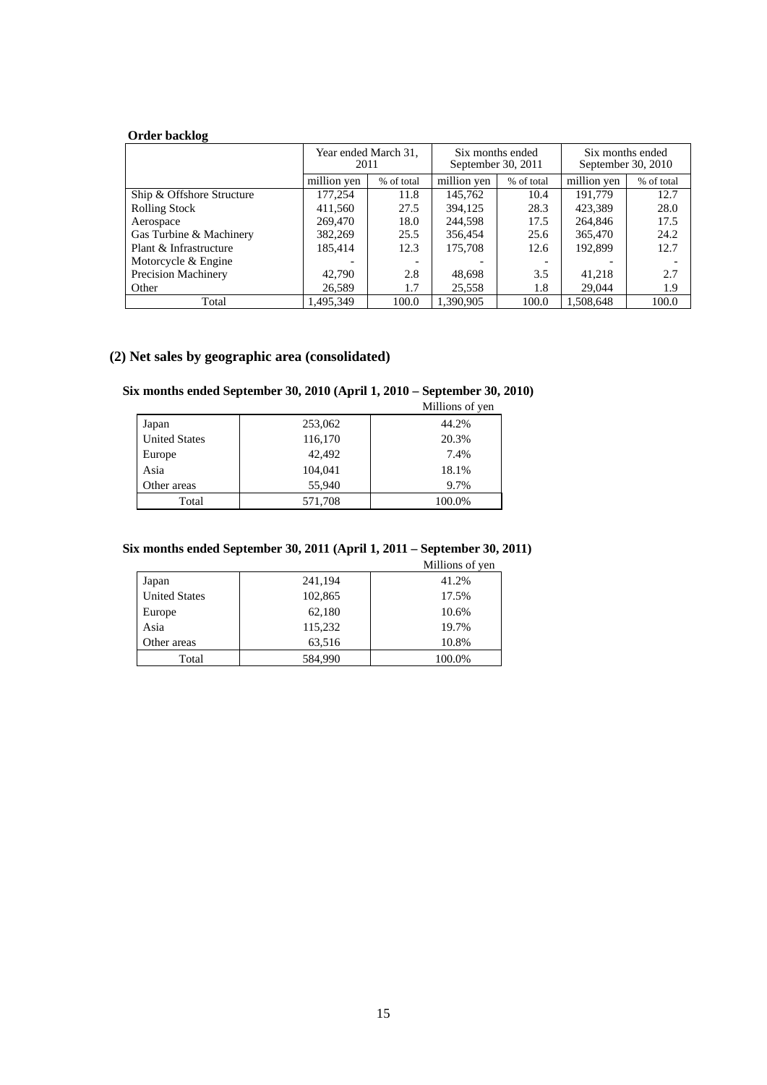# **Order backlog**

|                            | 2011        | Year ended March 31,     | September 30, 2011 | Six months ended | Six months ended<br>September 30, 2010 |            |
|----------------------------|-------------|--------------------------|--------------------|------------------|----------------------------------------|------------|
|                            | million ven | % of total               | million ven        | % of total       | million ven                            | % of total |
| Ship & Offshore Structure  | 177,254     | 11.8                     | 145,762            | 10.4             | 191.779                                | 12.7       |
| <b>Rolling Stock</b>       | 411,560     | 27.5                     | 394.125            | 28.3             | 423.389                                | 28.0       |
| Aerospace                  | 269,470     | 18.0                     | 244,598            | 17.5             | 264,846                                | 17.5       |
| Gas Turbine & Machinery    | 382,269     | 25.5                     | 356,454            | 25.6             | 365,470                                | 24.2       |
| Plant & Infrastructure     | 185.414     | 12.3                     | 175,708            | 12.6             | 192.899                                | 12.7       |
| Motorcycle & Engine        |             | $\overline{\phantom{a}}$ |                    |                  |                                        |            |
| <b>Precision Machinery</b> | 42,790      | 2.8                      | 48,698             | 3.5              | 41.218                                 | 2.7        |
| Other                      | 26,589      | 1.7                      | 25,558             | 1.8              | 29,044                                 | 1.9        |
| Total                      | 1.495.349   | 100.0                    | 1.390.905          | 100.0            | 1.508.648                              | 100.0      |

# **(2) Net sales by geographic area (consolidated)**

#### **Six months ended September 30, 2010 (April 1, 2010 – September 30, 2010)**

|                      |         | Millions of yen |
|----------------------|---------|-----------------|
| Japan                | 253,062 | 44.2%           |
| <b>United States</b> | 116,170 | 20.3%           |
| Europe               | 42,492  | 7.4%            |
| Asia                 | 104,041 | 18.1%           |
| Other areas          | 55,940  | 9.7%            |
| Total                | 571,708 | 100.0%          |
|                      |         |                 |

# **Six months ended September 30, 2011 (April 1, 2011 – September 30, 2011)**

Millions of yen

| Japan                | 241,194 | 41.2%  |
|----------------------|---------|--------|
| <b>United States</b> | 102,865 | 17.5%  |
| Europe               | 62,180  | 10.6%  |
| Asia                 | 115,232 | 19.7%  |
| Other areas          | 63,516  | 10.8%  |
| Total                | 584,990 | 100.0% |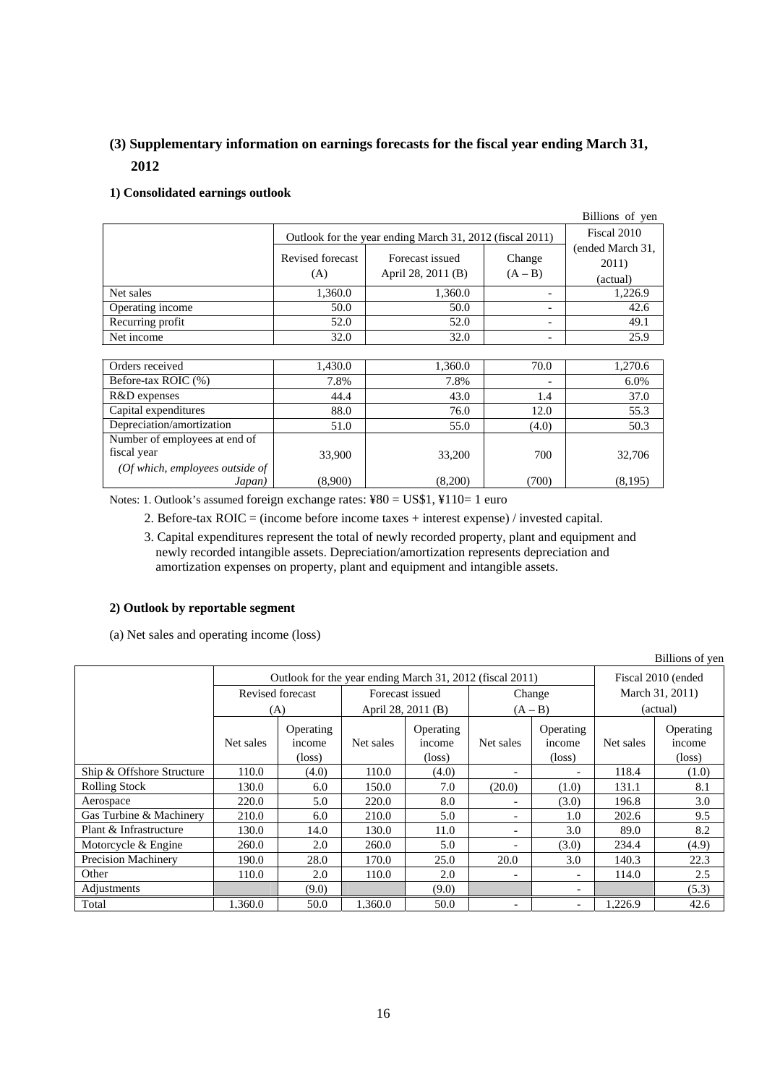# **(3) Supplementary information on earnings forecasts for the fiscal year ending March 31, 2012**

# **1) Consolidated earnings outlook**

|                  |                                                          |                    |                          | Billions of yen           |  |
|------------------|----------------------------------------------------------|--------------------|--------------------------|---------------------------|--|
|                  | Outlook for the year ending March 31, 2012 (fiscal 2011) | Fiscal 2010        |                          |                           |  |
|                  | Revised forecast                                         | Forecast issued    | Change                   | (ended March 31,<br>2011) |  |
|                  | (A)                                                      | April 28, 2011 (B) | $(A - B)$                | (actual)                  |  |
| Net sales        | 1,360.0                                                  | 1,360.0            |                          | 1,226.9                   |  |
| Operating income | 50.0                                                     | 50.0               | $\overline{\phantom{0}}$ | 42.6                      |  |
| Recurring profit | 52.0                                                     | 52.0               | $\overline{\phantom{0}}$ | 49.1                      |  |
| Net income       | 32.0                                                     | 32.0               | $\overline{\phantom{0}}$ | 25.9                      |  |

| Orders received                 | 1,430.0 | 1,360.0 | 70.0                     | 1,270.6 |
|---------------------------------|---------|---------|--------------------------|---------|
| Before-tax ROIC (%)             | 7.8%    | 7.8%    | $\overline{\phantom{0}}$ | 6.0%    |
| R&D expenses                    | 44.4    | 43.0    | 1.4                      | 37.0    |
| Capital expenditures            | 88.0    | 76.0    | 12.0                     | 55.3    |
| Depreciation/amortization       | 51.0    | 55.0    | (4.0)                    | 50.3    |
| Number of employees at end of   |         |         |                          |         |
| fiscal year                     | 33,900  | 33,200  | 700                      | 32,706  |
| (Of which, employees outside of |         |         |                          |         |
| Japan)                          | (8,900) | (8,200) | (700)                    | (8,195) |

Notes: 1. Outlook's assumed foreign exchange rates: ¥80 = US\$1, ¥110= 1 euro

2. Before-tax ROIC = (income before income taxes + interest expense) / invested capital.

3. Capital expenditures represent the total of newly recorded property, plant and equipment and newly recorded intangible assets. Depreciation/amortization represents depreciation and amortization expenses on property, plant and equipment and intangible assets.

### **2) Outlook by reportable segment**

(a) Net sales and operating income (loss)

| Billions of yen           |                                                          |                                        |                    |                                        |                          |                                        |                    |                                        |
|---------------------------|----------------------------------------------------------|----------------------------------------|--------------------|----------------------------------------|--------------------------|----------------------------------------|--------------------|----------------------------------------|
|                           | Outlook for the year ending March 31, 2012 (fiscal 2011) |                                        |                    |                                        |                          |                                        | Fiscal 2010 (ended |                                        |
|                           | Revised forecast                                         |                                        | Forecast issued    |                                        | Change                   |                                        | March 31, 2011)    |                                        |
|                           | (A)                                                      |                                        | April 28, 2011 (B) |                                        | $(A - B)$                |                                        | (actual)           |                                        |
|                           | Net sales                                                | Operating<br>income<br>$(\text{loss})$ | Net sales          | Operating<br>income<br>$(\text{loss})$ | Net sales                | Operating<br>income<br>$(\text{loss})$ | Net sales          | Operating<br>income<br>$(\text{loss})$ |
| Ship & Offshore Structure | 110.0                                                    | (4.0)                                  | 110.0              | (4.0)                                  | $\overline{\phantom{a}}$ | $\overline{\phantom{0}}$               | 118.4              | (1.0)                                  |
| <b>Rolling Stock</b>      | 130.0                                                    | 6.0                                    | 150.0              | 7.0                                    | (20.0)                   | (1.0)                                  | 131.1              | 8.1                                    |
| Aerospace                 | 220.0                                                    | 5.0                                    | 220.0              | 8.0                                    |                          | (3.0)                                  | 196.8              | 3.0                                    |
| Gas Turbine & Machinery   | 210.0                                                    | 6.0                                    | 210.0              | 5.0                                    |                          | 1.0                                    | 202.6              | 9.5                                    |
| Plant & Infrastructure    | 130.0                                                    | 14.0                                   | 130.0              | 11.0                                   |                          | 3.0                                    | 89.0               | 8.2                                    |
| Motorcycle & Engine       | 260.0                                                    | 2.0                                    | 260.0              | 5.0                                    |                          | (3.0)                                  | 234.4              | (4.9)                                  |
| Precision Machinery       | 190.0                                                    | 28.0                                   | 170.0              | 25.0                                   | 20.0                     | 3.0                                    | 140.3              | 22.3                                   |
| Other                     | 110.0                                                    | 2.0                                    | 110.0              | 2.0                                    |                          | $\overline{\phantom{a}}$               | 114.0              | 2.5                                    |
| Adjustments               |                                                          | (9.0)                                  |                    | (9.0)                                  |                          | $\overline{\phantom{0}}$               |                    | (5.3)                                  |
| Total                     | 1.360.0                                                  | 50.0                                   | 1.360.0            | 50.0                                   | $\overline{\phantom{a}}$ | $\overline{\phantom{a}}$               | 1.226.9            | 42.6                                   |